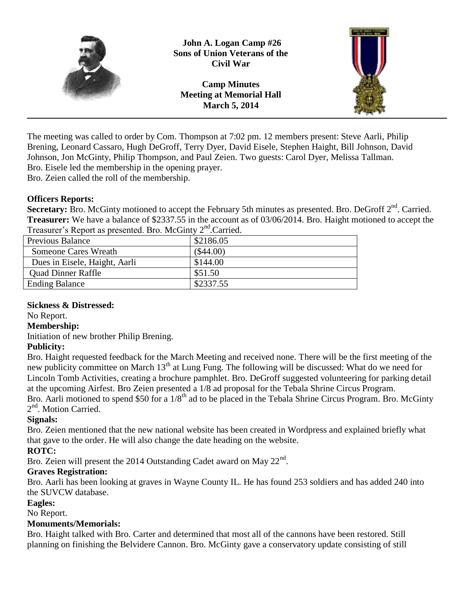

The meeting was called to order by Com. Thompson at 7:02 pm. 12 members present: Steve Aarli, Philip Brening, Leonard Cassaro, Hugh DeGroff, Terry Dyer, David Eisele, Stephen Haight, Bill Johnson, David Johnson, Jon McGinty, Philip Thompson, and Paul Zeien. Two guests: Carol Dyer, Melissa Tallman. Bro. Eisele led the membership in the opening prayer.

Bro. Zeien called the roll of the membership.

## **Officers Reports:**

Secretary: Bro. McGinty motioned to accept the February 5th minutes as presented. Bro. DeGroff 2<sup>nd</sup>. Carried. **Treasurer:** We have a balance of \$2337.55 in the account as of 03/06/2014. Bro. Haight motioned to accept the Treasurer's Report as presented. Bro. McGinty 2<sup>nd</sup>.Carried.

| $1.1$ which is a report we presented. Brother child |             |
|-----------------------------------------------------|-------------|
| <b>Previous Balance</b>                             | \$2186.05   |
| Someone Cares Wreath                                | $(\$44.00)$ |
| Dues in Eisele, Haight, Aarli                       | \$144.00    |
| <b>Quad Dinner Raffle</b>                           | \$51.50     |
| <b>Ending Balance</b>                               | \$2337.55   |

#### **Sickness & Distressed:**

No Report.

#### **Membership:**

Initiation of new brother Philip Brening.

# **Publicity:**

Bro. Haight requested feedback for the March Meeting and received none. There will be the first meeting of the new publicity committee on March 13<sup>th</sup> at Lung Fung. The following will be discussed: What do we need for Lincoln Tomb Activities, creating a brochure pamphlet. Bro. DeGroff suggested volunteering for parking detail at the upcoming Airfest. Bro Zeien presented a 1/8 ad proposal for the Tebala Shrine Circus Program. Bro. Aarli motioned to spend \$50 for a 1/8<sup>th</sup> ad to be placed in the Tebala Shrine Circus Program. Bro. McGinty 2<sup>nd</sup>. Motion Carried.

# **Signals:**

Bro. Zeien mentioned that the new national website has been created in Wordpress and explained briefly what that gave to the order. He will also change the date heading on the website.

# **ROTC:**

Bro. Zeien will present the 2014 Outstanding Cadet award on May  $22<sup>nd</sup>$ .

# **Graves Registration:**

Bro. Aarli has been looking at graves in Wayne County IL. He has found 253 soldiers and has added 240 into the SUVCW database.

#### **Eagles:**

No Report.

#### **Monuments/Memorials:**

Bro. Haight talked with Bro. Carter and determined that most all of the cannons have been restored. Still planning on finishing the Belvidere Cannon. Bro. McGinty gave a conservatory update consisting of still